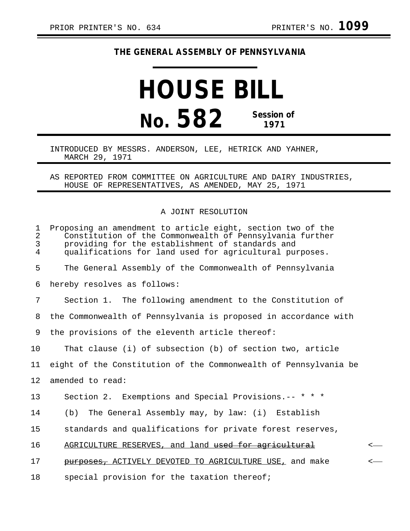## **THE GENERAL ASSEMBLY OF PENNSYLVANIA**

## **HOUSE BILL No. 582 Session of 1971**

## INTRODUCED BY MESSRS. ANDERSON, LEE, HETRICK AND YAHNER, MARCH 29, 1971

AS REPORTED FROM COMMITTEE ON AGRICULTURE AND DAIRY INDUSTRIES, HOUSE OF REPRESENTATIVES, AS AMENDED, MAY 25, 1971

## A JOINT RESOLUTION

| 1<br>$\overline{2}$<br>3<br>$\overline{4}$ | Proposing an amendment to article eight, section two of the<br>Constitution of the Commonwealth of Pennsylvania further<br>providing for the establishment of standards and<br>qualifications for land used for agricultural purposes. |
|--------------------------------------------|----------------------------------------------------------------------------------------------------------------------------------------------------------------------------------------------------------------------------------------|
| 5                                          | The General Assembly of the Commonwealth of Pennsylvania                                                                                                                                                                               |
| 6                                          | hereby resolves as follows:                                                                                                                                                                                                            |
| 7                                          | Section 1. The following amendment to the Constitution of                                                                                                                                                                              |
| 8                                          | the Commonwealth of Pennsylvania is proposed in accordance with                                                                                                                                                                        |
| 9                                          | the provisions of the eleventh article thereof:                                                                                                                                                                                        |
| 10                                         | That clause (i) of subsection (b) of section two, article                                                                                                                                                                              |
| 11                                         | eight of the Constitution of the Commonwealth of Pennsylvania be                                                                                                                                                                       |
| 12                                         | amended to read:                                                                                                                                                                                                                       |
| 13                                         | Section 2. Exemptions and Special Provisions.-- * * *                                                                                                                                                                                  |
| 14                                         | The General Assembly may, by law: (i) Establish<br>(b)                                                                                                                                                                                 |
| 15                                         | standards and qualifications for private forest reserves,                                                                                                                                                                              |
| 16                                         | AGRICULTURE RESERVES, and land used for agricultural<br>$\prec$                                                                                                                                                                        |
| 17                                         | purposes, ACTIVELY DEVOTED TO AGRICULTURE USE, and make<br>$\,<\,$                                                                                                                                                                     |
| 18                                         | special provision for the taxation thereof;                                                                                                                                                                                            |